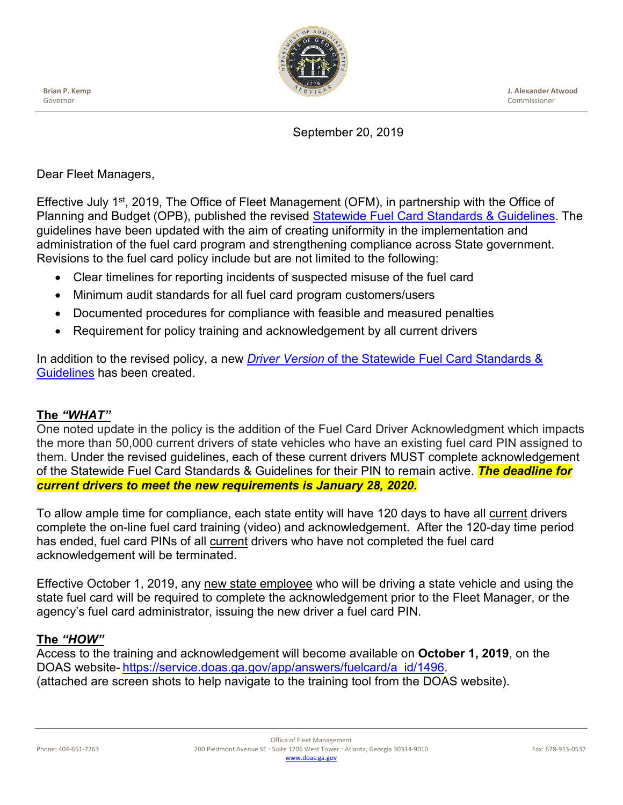**Brian P. Kemp** Governor



**J. Alexander Atwood** Commissioner

## September 20, 2019

Dear Fleet Managers,

Effective July 1<sup>st</sup>, 2019, The Office of Fleet Management (OFM), in partnership with the Office of Planning and Budget (OPB), published the revised [Statewide Fuel Card Standards & Guidelines.](http://doas.ga.gov/fleet-management/rules-policies-and-compliance) The guidelines have been updated with the aim of creating uniformity in the implementation and administration of the fuel card program and strengthening compliance across State government. Revisions to the fuel card policy include but are not limited to the following:

- Clear timelines for reporting incidents of suspected misuse of the fuel card
- Minimum audit standards for all fuel card program customers/users
- Documented procedures for compliance with feasible and measured penalties
- Requirement for policy training and acknowledgement by all current drivers

In addition to the revised policy, a new *Driver Version* of the [Statewide Fuel Card Standards &](http://doas.ga.gov/fleet-management/rules-policies-and-compliance)  [Guidelines](http://doas.ga.gov/fleet-management/rules-policies-and-compliance) has been created.

## **The** *"WHAT"*

One noted update in the policy is the addition of the Fuel Card Driver Acknowledgment which impacts the more than 50,000 current drivers of state vehicles who have an existing fuel card PIN assigned to them. Under the revised guidelines, each of these current drivers MUST complete acknowledgement of the Statewide Fuel Card Standards & Guidelines for their PIN to remain active. *The deadline for current drivers to meet the new requirements is January 28, 2020.*

To allow ample time for compliance, each state entity will have 120 days to have all current drivers complete the on-line fuel card training (video) and acknowledgement. After the 120-day time period has ended, fuel card PINs of all current drivers who have not completed the fuel card acknowledgement will be terminated.

Effective October 1, 2019, any new state employee who will be driving a state vehicle and using the state fuel card will be required to complete the acknowledgement prior to the Fleet Manager, or the agency's fuel card administrator, issuing the new driver a fuel card PIN.

## **The** *"HOW"*

Access to the training and acknowledgement will become available on **October 1, 2019**, on the DOAS website- [https://service.doas.ga.gov/app/answers/fuelcard/a\\_id/1496.](https://service.doas.ga.gov/app/answers/fuelcard/a_id/1496) (attached are screen shots to help navigate to the training tool from the DOAS website).